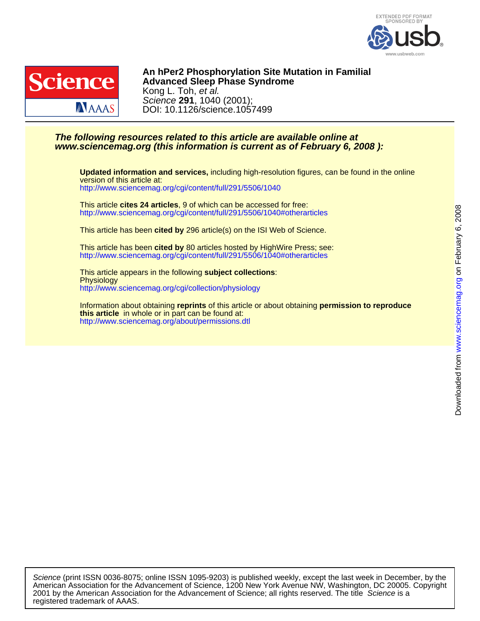



DOI: 10.1126/science.1057499 Science **291**, 1040 (2001); Kong L. Toh, et al. **Advanced Sleep Phase Syndrome** An h Per2 Phosphorylation Site Mutation in Familial

## **www.sciencemag.org (this information is current as of February 6, 2008 ): The following resources related to this article are available online at**

<http://www.sciencemag.org/cgi/content/full/291/5506/1040> version of this article at: **Updated information and services,** including high-resolution figures, can be found in the online

<http://www.sciencemag.org/cgi/content/full/291/5506/1040#otherarticles> This article **cites 24 articles**, 9 of which can be accessed for free:

This article has been **cited by** 296 article(s) on the ISI Web of Science.

<http://www.sciencemag.org/cgi/content/full/291/5506/1040#otherarticles> This article has been **cited by** 80 articles hosted by HighWire Press; see:

<http://www.sciencemag.org/cgi/collection/physiology> **Physiology** This article appears in the following **subject collections**:

<http://www.sciencemag.org/about/permissions.dtl> **this article** in whole or in part can be found at: Information about obtaining **reprints** of this article or about obtaining **permission to reproduce**

registered trademark of AAAS. 2001 by the American Association for the Advancement of Science; all rights reserved. The title Science is a American Association for the Advancement of Science, 1200 New York Avenue NW, Washington, DC 20005. Copyright Science (print ISSN 0036-8075; online ISSN 1095-9203) is published weekly, except the last week in December, by the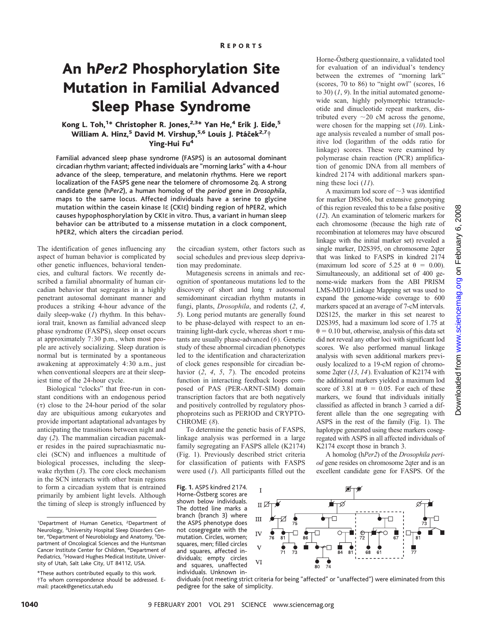# An h*Per2* Phosphorylation Site Mutation in Familial Advanced Sleep Phase Syndrome

### Kong L. Toh,<sup>1</sup>\* Christopher R. Jones,<sup>2,3</sup>\* Yan He,<sup>4</sup> Erik J. Eide,<sup>5</sup> William A. Hinz,<sup>5</sup> David M. Virshup,<sup>5,6</sup> Louis J. Ptáček<sup>2,7</sup>† Ying-Hui Fu<sup>4</sup>

Familial advanced sleep phase syndrome (FASPS) is an autosomal dominant circadian rhythm variant; affected individuals are "morning larks" with a 4-hour advance of the sleep, temperature, and melatonin rhythms. Here we report localization of the FASPS gene near the telomere of chromosome 2q. A strong candidate gene (h*Per2*), a human homolog of the *period* gene in *Drosophila*, maps to the same locus. Affected individuals have a serine to glycine mutation within the casein kinase Iε (CKIε) binding region of hPER2, which causes hypophosphorylation by CKIε in vitro. Thus, a variant in human sleep behavior can be attributed to a missense mutation in a clock component, hPER2, which alters the circadian period.

The identification of genes influencing any aspect of human behavior is complicated by other genetic influences, behavioral tendencies, and cultural factors. We recently described a familial abnormality of human circadian behavior that segregates in a highly penetrant autosomal dominant manner and produces a striking 4-hour advance of the daily sleep-wake (*1*) rhythm. In this behavioral trait, known as familial advanced sleep phase syndrome (FASPS), sleep onset occurs at approximately 7:30 p.m., when most people are actively socializing. Sleep duration is normal but is terminated by a spontaneous awakening at approximately 4:30 a.m., just when conventional sleepers are at their sleepiest time of the 24-hour cycle.

Biological "clocks" that free-run in constant conditions with an endogenous period  $(\tau)$  close to the 24-hour period of the solar day are ubiquitious among eukaryotes and provide important adaptational advantages by anticipating the transitions between night and day (*2*). The mammalian circadian pacemaker resides in the paired suprachiasmatic nuclei (SCN) and influences a multitude of biological processes, including the sleepwake rhythm (*3*). The core clock mechanism in the SCN interacts with other brain regions to form a circadian system that is entrained primarily by ambient light levels. Although the timing of sleep is strongly influenced by

the circadian system, other factors such as social schedules and previous sleep deprivation may predominate.

Mutagenesis screens in animals and recognition of spontaneous mutations led to the discovery of short and long  $\tau$  autosomal semidominant circadian rhythm mutants in fungi, plants, *Drosophila*, and rodents (*2*, *4*, *5*). Long period mutants are generally found to be phase-delayed with respect to an entraining light-dark cycle, whereas short  $\tau$  mutants are usually phase-advanced (*6*). Genetic study of these abnormal circadian phenotypes led to the identification and characterization of clock genes responsible for circadian behavior (*2*, *4*, *5*, *7*). The encoded proteins function in interacting feedback loops composed of PAS (PER-ARNT-SIM) domain transcription factors that are both negatively and positively controlled by regulatory phosphoproteins such as PERIOD and CRYPTO-CHROME (*8*).

To determine the genetic basis of FASPS, linkage analysis was performed in a large family segregating an FASPS allele (K2174) (Fig. 1). Previously described strict criteria for classification of patients with FASPS were used (*1*). All participants filled out the

**Fig. 1.** ASPS kindred 2174.

Horne-Östberg scores are shown below individuals. The dotted line marks a branch (branch 3) where the ASPS phenotype does not cosegregate with the mutation. Circles, women; squares, men; filled circles and squares, affected individuals; empty circles and squares, unaffected individuals. Unknown in-

Horne-Östberg questionnaire, a validated tool for evaluation of an individual's tendency between the extremes of "morning lark" (scores, 70 to 86) to "night owl" (scores, 16 to 30) (*1*, *9*). In the initial automated genomewide scan, highly polymorphic tetranucleotide and dinucleotide repeat markers, distributed every  $\sim$  20 cM across the genome, were chosen for the mapping set (*10*). Linkage analysis revealed a number of small positive lod (logarithm of the odds ratio for linkage) scores. These were examined by polymerase chain reaction (PCR) amplification of genomic DNA from all members of kindred 2174 with additional markers spanning these loci (*11*).

A maximum lod score of  $\sim$ 3 was identified for marker D8S366, but extensive genotyping of this region revealed this to be a false positive (*12*). An examination of telomeric markers for each chromosome (because the high rate of recombination at telomeres may have obscured linkage with the initial marker set) revealed a single marker, D2S395, on chromosome 2qter that was linked to FASPS in kindred 2174 (maximum lod score of 5.25 at  $\theta = 0.00$ ). Simultaneously, an additional set of 400 genome-wide markers from the ABI PRISM LMS-MD10 Linkage Mapping set was used to expand the genome-wide coverage to 600 markers spaced at an average of 7-cM intervals. D2S125, the marker in this set nearest to D2S395, had a maximum lod score of 1.75 at  $\theta = 0.10$  but, otherwise, analysis of this data set did not reveal any other loci with significant lod scores. We also performed manual linkage analysis with seven additional markers previously localized to a 19-cM region of chromosome 2qter (*13*, *14*). Evaluation of K2174 with the additional markers yielded a maximum lod score of 3.81 at  $\theta = 0.05$ . For each of these markers, we found that individuals initially classified as affected in branch 3 carried a different allele than the one segregating with ASPS in the rest of the family (Fig. 1). The haplotype generated using these markers cosegregated with ASPS in all affected individuals of K2174 except those in branch 3.

A homolog (h*Per2*) of the *Drosophila period* gene resides on chromosome 2qter and is an excellent candidate gene for FASPS. Of the



<sup>&</sup>lt;sup>1</sup>Department of Human Genetics, <sup>2</sup>Department of Neurology, <sup>3</sup> University Hospital Sleep Disorders Center, <sup>4</sup>Department of Neurobiology and Anatomy, <sup>5</sup>Department of Oncological Sciences and the Huntsman Cancer Institute Center for Children, <sup>6</sup>Department of Pediatrics, <sup>7</sup> Howard Hughes Medical Institute, University of Utah, Salt Lake City, UT 84112, USA.

<sup>\*</sup>These authors contributed equally to this work. †To whom correspondence should be addressed. Email: ptacek@genetics.utah.edu

dividuals (not meeting strict criteria for being "affected" or "unaffected") were eliminated from this pedigree for the sake of simplicity.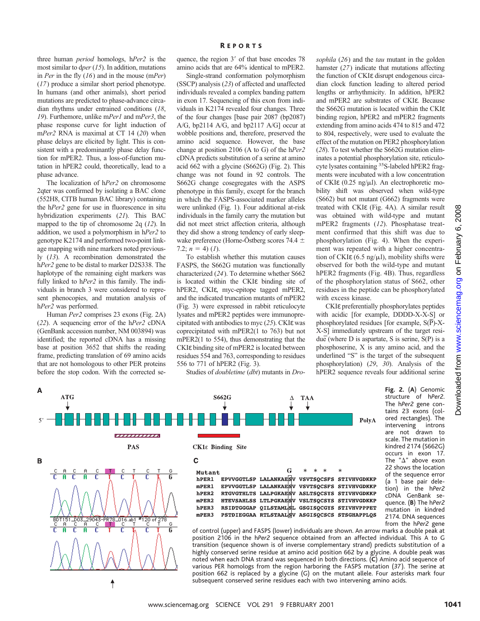three human *period* homologs, h*Per2* is the most similar to d*per*(*15*). In addition, mutations in *Per* in the fly (*16*) and in the mouse (m*Per*) (*17*) produce a similar short period phenotype. In humans (and other animals), short period mutations are predicted to phase-advance circadian rhythms under entrained conditions (*18*, *19*). Furthemore, unlike m*Per1* and m*Per3*, the phase response curve for light induction of m*Per2* RNA is maximal at CT 14 (*20*) when phase delays are elicited by light. This is consistent with a predominantly phase delay function for mPER2. Thus, a loss-of-function mutation in hPER2 could, theoretically, lead to a phase advance.

The localization of h*Per2* on chromosome 2qter was confirmed by isolating a BAC clone (552H8, CITB human BAC library) containing the h*Per2* gene for use in fluorescence in situ hybridization experiments (*21*). This BAC mapped to the tip of chromosome 2q (*12*). In addition, we used a polymorphism in h*Per2* to genotype K2174 and performed two-point linkage mapping with nine markers noted previously (*13*). A recombination demonstrated the h*Per2* gene to be distal to marker D2S338. The haplotype of the remaining eight markers was fully linked to h*Per2* in this family. The individuals in branch 3 were considered to represent phenocopies, and mutation analysis of h*Per2* was performed.

Human *Per2* comprises 23 exons (Fig. 2A) (*22*). A sequencing error of the h*Per2* cDNA (GenBank accession number, NM 003894) was identified; the reported cDNA has a missing base at position 3652 that shifts the reading frame, predicting translation of 69 amino acids that are not homologous to other PER proteins before the stop codon. With the corrected se-

↑

A

quence, the region  $3'$  of that base encodes 78 amino acids that are 64% identical to mPER2.

Single-strand conformation polymorphism (SSCP) analysis (*23*) of affected and unaffected individuals revealed a complex banding pattern in exon 17. Sequencing of this exon from individuals in K2174 revealed four changes. Three of the four changes [base pair 2087 (bp2087) A/G, bp2114 A/G, and bp2117 A/G] occur at wobble positions and, therefore, preserved the amino acid sequence. However, the base change at position 2106 (A to G) of the h*Per2* cDNA predicts substitution of a serine at amino acid 662 with a glycine (S662G) (Fig. 2). This change was not found in 92 controls. The S662G change cosegregates with the ASPS phenotype in this family, except for the branch in which the FASPS-associated marker alleles were unlinked (Fig. 1). Four additional at-risk individuals in the family carry the mutation but did not meet strict affection criteria, although they did show a strong tendency of early sleepwake preference (Horne-Östberg scores 74.4  $\pm$ 7.2;  $n = 4$ ) (*1*).

To establish whether this mutation causes FASPS, the S662G mutation was functionally characterized (*24*). To determine whether S662 is located within the CKIε binding site of hPER2, CKIε, myc-epitope tagged mPER2, and the indicated truncation mutants of mPER2 (Fig. 3) were expressed in rabbit reticulocyte lysates and mPER2 peptides were immunoprecipitated with antibodies to myc (*25*). CKIε was coprecipitated with mPER2(1 to 763) but not mPER2(1 to 554), thus demonstrating that the CKIε binding site of mPER2 is located between residues 554 and 763, corresponding to residues 556 to 771 of hPER2 (Fig. 3).

Studies of *doubletime* (*dbt*) mutants in *Dro-*

*sophila* (*26*) and the *tau* mutant in the golden hamster (*27*) indicate that mutations affecting the function of CKIε disrupt endogenous circadian clock function leading to altered period lengths or arrhythmicity. In addition, hPER2 and mPER2 are substrates of CKIε. Because the S662G mutation is located within the CKIε binding region, hPER2 and mPER2 fragments extending from amino acids 474 to 815 and 472 to 804, respectively, were used to evaluate the effect of the mutation on PER2 phosphorylation (*28*). To test whether the S662G mutation eliminates a potential phosphorylation site, reticulocyte lysates containing <sup>35</sup>S-labeled hPER2 fragments were incubated with a low concentration of CKI $\varepsilon$  (0.25 ng/ $\mu$ l). An electrophoretic mobility shift was observed when wild-type (S662) but not mutant (G662) fragments were treated with CKIε (Fig. 4A). A similar result was obtained with wild-type and mutant mPER2 fragments (*12*). Phosphatase treatment confirmed that this shift was due to phosphorylation (Fig. 4). When the experiment was repeated with a higher concentration of CKI $\varepsilon$  (6.5 ng/ $\mu$ l), mobility shifts were observed for both the wild-type and mutant hPER2 fragments (Fig. 4B). Thus, regardless of the phosphorylation status of S662, other residues in the peptide can be phosphorylated with excess kinase.

CKIε preferentially phosphorylates peptides with acidic [for example, DDDD-X-X-S] or phosphorylated residues [for example,  $S(\overline{P})$ -X-X-S] immediately upstream of the target residue (where D is aspartate, S is serine, S(P) is a phosphoserine, X is any amino acid, and the underlined "S" is the target of the subsequent phosphorylation) (*29*, *30*). Analysis of the hPER2 sequence reveals four additional serine

> **Fig. 2.** (**A**) Genomic structure of h*Per2*. The h*Per2* gene contains 23 exons (colored rectangles). The intervening introns are not drawn to scale. The mutation in kindred 2174 (S662G) occurs in exon 17. The " $\Delta$ " above exon 22 shows the location of the sequence error (a 1 base pair deletion) in the h*Per2*

cDNA GenBank sequence. (**B**) The h*Per2* mutation in kindred 2174. DNA sequences from the h*Per2* gene



of control (upper) and FASPS (lower) individuals are shown. An arrow marks a double peak at position 2106 in the h*Per2* sequence obtained from an affected individual. This A to G transition (sequence shown is of inverse complementary strand) predicts substitution of a highly conserved serine residue at amino acid position 662 by a glycine. A double peak was noted when each DNA strand was sequenced in both directions. (**C**) Amino acid sequence of various PER homologs from the region harboring the FASPS mutation (*37*). The serine at position 662 is replaced by a glycine (G) on the mutant allele. Four asterisks mark four subsequent conserved serine residues each with two intervening amino acids.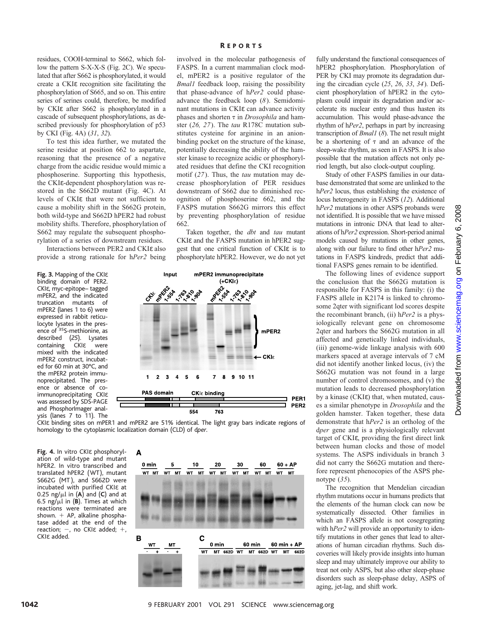residues, COOH-terminal to S662, which follow the pattern S-X-X-S (Fig. 2C). We speculated that after S662 is phosphorylated, it would create a CKIε recognition site facilitating the phosphorylation of S665, and so on. This entire series of serines could, therefore, be modified by CKIε after S662 is phosphorylated in a cascade of subsequent phosphorylations, as described previously for phosphorylation of p53 by CKI (Fig. 4A) (*31*, *32*).

To test this idea further, we mutated the serine residue at position 662 to aspartate, reasoning that the presence of a negative charge from the acidic residue would mimic a phosphoserine. Supporting this hypothesis, the CKIε-dependent phosphorylation was restored in the S662D mutant (Fig. 4C). At levels of CKIε that were not sufficient to cause a mobility shift in the S662G protein, both wild-type and S662D hPER2 had robust mobility shifts. Therefore, phosphorylation of S662 may regulate the subsequent phosphorylation of a series of downstream residues.

Interactions between PER2 and CKIε also provide a strong rationale for h*Per2* being

**Fig. 3.** Mapping of the CKIε binding domain of PER2. CKIε, myc-epitope– tagged mPER2, and the indicated truncation mutants of mPER2 (lanes 1 to 6) were expressed in rabbit reticulocyte lysates in the presence of 35S-methionine, as described (*25*). Lysates containing CKIε were mixed with the indicated mPER2 construct, incubated for 60 min at 30°C, and the mPER2 protein immunoprecipitated. The presence or absence of coimmunoprecipitating CKIε was assessed by SDS-PAGE and PhosphorImager analysis (lanes 7 to 11). The R EPORTS

involved in the molecular pathogenesis of FASPS. In a current mammalian clock model, mPER2 is a positive regulator of the *Bmal1* feedback loop, raising the possibility that phase-advance of h*Per2* could phaseadvance the feedback loop (*8*). Semidominant mutations in CKIε can advance activity phases and shorten  $\tau$  in *Drosophila* and hamster (*26, 27*). The *tau* R178C mutation substitutes cysteine for arginine in an anionbinding pocket on the structure of the kinase, potentially decreasing the ability of the hamster kinase to recognize acidic or phosphorylated residues that define the CKI recognition motif (*27*). Thus, the *tau* mutation may decrease phosphorylation of PER residues downstream of S662 due to diminished recognition of phosphoserine 662, and the FASPS mutation S662G mirrors this effect by preventing phosphorylation of residue 662.

Taken together, the *dbt* and *tau* mutant CKIε and the FASPS mutation in hPER2 suggest that one critical function of CKIε is to phosphorylate hPER2. However, we do not yet



CKIε binding sites on mPER1 and mPER2 are 51% identical. The light gray bars indicate regions of homology to the cytoplasmic localization domain (CLD) of d*per*.

**Fig. 4.** In vitro CKIε phosphorylation of wild-type and mutant hPER2. In vitro transcribed and translated hPER2 (WT), mutant S662G (MT ), and S662D were incubated with purified CKIε at 0.25 ng/ $\mu$ l in (A) and (C) and at 6.5 ng/ $\mu$ l in (**B**). Times at which reactions were terminated are shown.  $+$  AP, alkaline phosphatase added at the end of the reaction;  $-$ , no CKI $\varepsilon$  added;  $+$ CKIε added.



fully understand the functional consequences of hPER2 phosphorylation. Phosphorylation of PER by CKI may promote its degradation during the circadian cycle (*25*, *26*, *33*, *34*). Deficient phosphorylation of hPER2 in the cytoplasm could impair its degradation and/or accelerate its nuclear entry and thus hasten its accumulation. This would phase-advance the rhythm of h*Per2*, perhaps in part by increasing transcription of *Bmal1* (*8*). The net result might be a shortening of  $\tau$  and an advance of the sleep-wake rhythm, as seen in FASPS. It is also possible that the mutation affects not only period length, but also clock-output coupling.

Study of other FASPS families in our database demonstrated that some are unlinked to the h*Per2* locus, thus establishing the existence of locus heterogeneity in FASPS (*12*). Additional h*Per2* mutations in other ASPS probands were not identified. It is possible that we have missed mutations in intronic DNA that lead to alterations of h*Per2* expression. Short-period animal models caused by mutations in other genes, along with our failure to find other h*Per2* mutations in FASPS kindreds, predict that additional FASPS genes remain to be identified.

The following lines of evidence support the conclusion that the S662G mutation is responsible for FASPS in this family: (i) the FASPS allele in K2174 is linked to chromosome 2qter with significant lod scores despite the recombinant branch, (ii) h*Per2* is a physiologically relevant gene on chromosome 2qter and harbors the S662G mutation in all affected and genetically linked individuals, (iii) genome-wide linkage analysis with 600 markers spaced at average intervals of 7 cM did not identify another linked locus, (iv) the S662G mutation was not found in a large number of control chromosomes, and (v) the mutation leads to decreased phosphorylation by a kinase (CKIε) that, when mutated, causes a similar phenotype in *Drosophila* and the golden hamster. Taken together, these data demonstrate that h*Per2* is an ortholog of the d*per* gene and is a physiologically relevant target of CKIε, providing the first direct link between human clocks and those of model systems. The ASPS individuals in branch 3 did not carry the S662G mutation and therefore represent phenocopies of the ASPS phenotype (*35*).

The recognition that Mendelian circadian rhythm mutations occur in humans predicts that the elements of the human clock can now be systematically dissected. Other families in which an FASPS allele is not cosegregating with h*Per2* will provide an opportunity to identify mutations in other genes that lead to alterations of human circadian rhythms. Such discoveries will likely provide insights into human sleep and may ultimately improve our ability to treat not only ASPS, but also other sleep-phase disorders such as sleep-phase delay, ASPS of aging, jet-lag, and shift work.